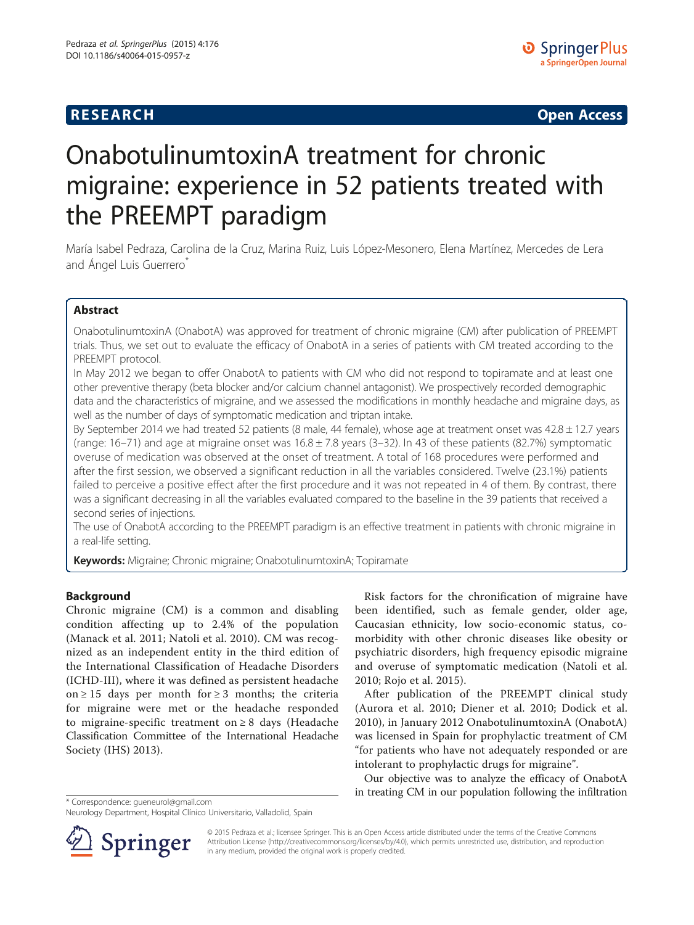# **RESEARCH RESEARCH CONSUMING ACCESS**

# OnabotulinumtoxinA treatment for chronic migraine: experience in 52 patients treated with the PREEMPT paradigm

María Isabel Pedraza, Carolina de la Cruz, Marina Ruiz, Luis López-Mesonero, Elena Martínez, Mercedes de Lera and Ángel Luis Guerrero<sup>\*</sup>

# Abstract

OnabotulinumtoxinA (OnabotA) was approved for treatment of chronic migraine (CM) after publication of PREEMPT trials. Thus, we set out to evaluate the efficacy of OnabotA in a series of patients with CM treated according to the PREEMPT protocol.

In May 2012 we began to offer OnabotA to patients with CM who did not respond to topiramate and at least one other preventive therapy (beta blocker and/or calcium channel antagonist). We prospectively recorded demographic data and the characteristics of migraine, and we assessed the modifications in monthly headache and migraine days, as well as the number of days of symptomatic medication and triptan intake.

By September 2014 we had treated 52 patients (8 male, 44 female), whose age at treatment onset was  $42.8 \pm 12.7$  years (range: 16–71) and age at migraine onset was  $16.8 \pm 7.8$  years (3–32). In 43 of these patients (82.7%) symptomatic overuse of medication was observed at the onset of treatment. A total of 168 procedures were performed and after the first session, we observed a significant reduction in all the variables considered. Twelve (23.1%) patients failed to perceive a positive effect after the first procedure and it was not repeated in 4 of them. By contrast, there was a significant decreasing in all the variables evaluated compared to the baseline in the 39 patients that received a second series of injections.

The use of OnabotA according to the PREEMPT paradigm is an effective treatment in patients with chronic migraine in a real-life setting.

Keywords: Migraine; Chronic migraine; OnabotulinumtoxinA; Topiramate

## Background

Chronic migraine (CM) is a common and disabling condition affecting up to 2.4% of the population (Manack et al. [2011](#page-3-0); Natoli et al. [2010\)](#page-3-0). CM was recognized as an independent entity in the third edition of the International Classification of Headache Disorders (ICHD-III), where it was defined as persistent headache on ≥ 15 days per month for ≥ 3 months; the criteria for migraine were met or the headache responded to migraine-specific treatment on ≥ 8 days (Headache Classification Committee of the International Headache Society (IHS) [2013](#page-3-0)).

\* Correspondence: [gueneurol@gmail.com](mailto:gueneurol@gmail.com)

Risk factors for the chronification of migraine have been identified, such as female gender, older age, Caucasian ethnicity, low socio-economic status, comorbidity with other chronic diseases like obesity or psychiatric disorders, high frequency episodic migraine and overuse of symptomatic medication (Natoli et al. [2010;](#page-3-0) Rojo et al. [2015\)](#page-4-0).

After publication of the PREEMPT clinical study (Aurora et al. [2010;](#page-3-0) Diener et al. [2010](#page-3-0); Dodick et al. [2010\)](#page-3-0), in January 2012 OnabotulinumtoxinA (OnabotA) was licensed in Spain for prophylactic treatment of CM "for patients who have not adequately responded or are intolerant to prophylactic drugs for migraine".

Our objective was to analyze the efficacy of OnabotA in treating CM in our population following the infiltration



© 2015 Pedraza et al.; licensee Springer. This is an Open Access article distributed under the terms of the Creative Commons Attribution License [\(http://creativecommons.org/licenses/by/4.0\)](http://creativecommons.org/licenses/by/4.0), which permits unrestricted use, distribution, and reproduction in any medium, provided the original work is properly credited.

Neurology Department, Hospital Clínico Universitario, Valladolid, Spain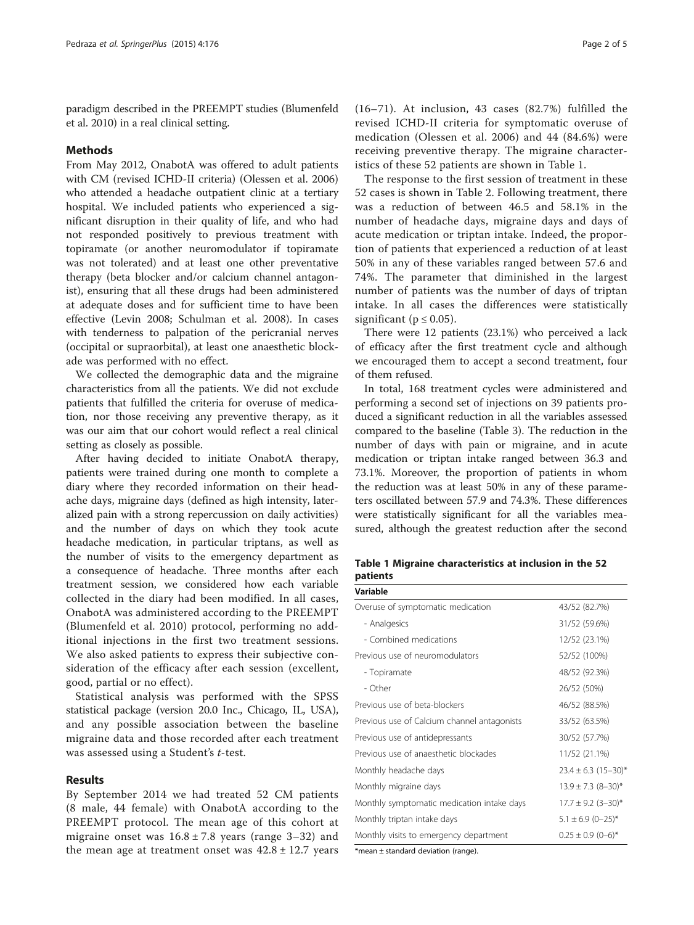paradigm described in the PREEMPT studies (Blumenfeld et al. [2010](#page-3-0)) in a real clinical setting.

#### Methods

From May 2012, OnabotA was offered to adult patients with CM (revised ICHD-II criteria) (Olessen et al. [2006](#page-3-0)) who attended a headache outpatient clinic at a tertiary hospital. We included patients who experienced a significant disruption in their quality of life, and who had not responded positively to previous treatment with topiramate (or another neuromodulator if topiramate was not tolerated) and at least one other preventative therapy (beta blocker and/or calcium channel antagonist), ensuring that all these drugs had been administered at adequate doses and for sufficient time to have been effective (Levin [2008;](#page-3-0) Schulman et al. [2008](#page-4-0)). In cases with tenderness to palpation of the pericranial nerves (occipital or supraorbital), at least one anaesthetic blockade was performed with no effect.

We collected the demographic data and the migraine characteristics from all the patients. We did not exclude patients that fulfilled the criteria for overuse of medication, nor those receiving any preventive therapy, as it was our aim that our cohort would reflect a real clinical setting as closely as possible.

After having decided to initiate OnabotA therapy, patients were trained during one month to complete a diary where they recorded information on their headache days, migraine days (defined as high intensity, lateralized pain with a strong repercussion on daily activities) and the number of days on which they took acute headache medication, in particular triptans, as well as the number of visits to the emergency department as a consequence of headache. Three months after each treatment session, we considered how each variable collected in the diary had been modified. In all cases, OnabotA was administered according to the PREEMPT (Blumenfeld et al. [2010](#page-3-0)) protocol, performing no additional injections in the first two treatment sessions. We also asked patients to express their subjective consideration of the efficacy after each session (excellent, good, partial or no effect).

Statistical analysis was performed with the SPSS statistical package (version 20.0 Inc., Chicago, IL, USA), and any possible association between the baseline migraine data and those recorded after each treatment was assessed using a Student's t-test.

#### Results

By September 2014 we had treated 52 CM patients (8 male, 44 female) with OnabotA according to the PREEMPT protocol. The mean age of this cohort at migraine onset was  $16.8 \pm 7.8$  years (range 3–32) and the mean age at treatment onset was  $42.8 \pm 12.7$  years (16–71). At inclusion, 43 cases (82.7%) fulfilled the revised ICHD-II criteria for symptomatic overuse of medication (Olessen et al. [2006](#page-3-0)) and 44 (84.6%) were receiving preventive therapy. The migraine characteristics of these 52 patients are shown in Table 1.

The response to the first session of treatment in these 52 cases is shown in Table [2.](#page-2-0) Following treatment, there was a reduction of between 46.5 and 58.1% in the number of headache days, migraine days and days of acute medication or triptan intake. Indeed, the proportion of patients that experienced a reduction of at least 50% in any of these variables ranged between 57.6 and 74%. The parameter that diminished in the largest number of patients was the number of days of triptan intake. In all cases the differences were statistically significant ( $p \le 0.05$ ).

There were 12 patients (23.1%) who perceived a lack of efficacy after the first treatment cycle and although we encouraged them to accept a second treatment, four of them refused.

In total, 168 treatment cycles were administered and performing a second set of injections on 39 patients produced a significant reduction in all the variables assessed compared to the baseline (Table [3\)](#page-2-0). The reduction in the number of days with pain or migraine, and in acute medication or triptan intake ranged between 36.3 and 73.1%. Moreover, the proportion of patients in whom the reduction was at least 50% in any of these parameters oscillated between 57.9 and 74.3%. These differences were statistically significant for all the variables measured, although the greatest reduction after the second

Table 1 Migraine characteristics at inclusion in the 52 patients  $\overline{\phantom{a}}$ 

| variable                                    |                                   |  |  |
|---------------------------------------------|-----------------------------------|--|--|
| Overuse of symptomatic medication           | 43/52 (82.7%)                     |  |  |
| - Analgesics                                | 31/52 (59.6%)                     |  |  |
| - Combined medications                      | 12/52 (23.1%)                     |  |  |
| Previous use of neuromodulators             | 52/52 (100%)                      |  |  |
| - Topiramate                                | 48/52 (92.3%)                     |  |  |
| - Other                                     | 26/52 (50%)                       |  |  |
| Previous use of beta-blockers               | 46/52 (88.5%)                     |  |  |
| Previous use of Calcium channel antagonists | 33/52 (63.5%)                     |  |  |
| Previous use of antidepressants             | 30/52 (57.7%)                     |  |  |
| Previous use of anaesthetic blockades       | 11/52 (21.1%)                     |  |  |
| Monthly headache days                       | $23.4 \pm 6.3$ (15-30)*           |  |  |
| Monthly migraine days                       | $13.9 \pm 7.3$ (8-30)*            |  |  |
| Monthly symptomatic medication intake days  | $17.7 \pm 9.2$ (3-30)*            |  |  |
| Monthly triptan intake days                 | $5.1 \pm 6.9$ (0-25)*             |  |  |
| Monthly visits to emergency department      | $0.25 \pm 0.9$ (0-6) <sup>*</sup> |  |  |

\*mean ± standard deviation (range).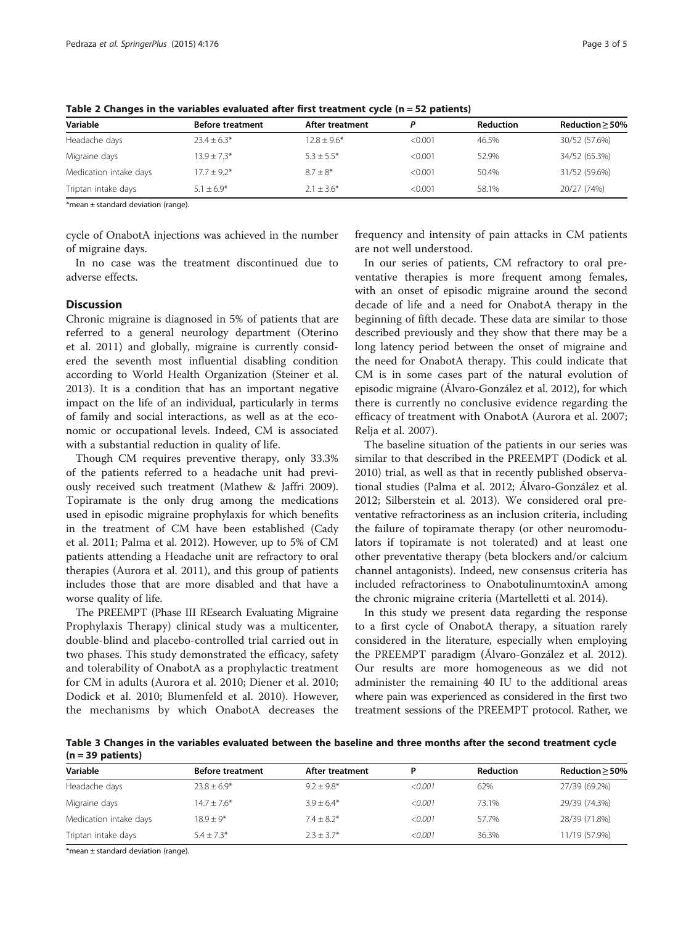| Variable               | <b>Before treatment</b> | After treatment | D       | <b>Reduction</b> | Reduction $>$ 50% |
|------------------------|-------------------------|-----------------|---------|------------------|-------------------|
| Headache days          | $23.4 \pm 6.3*$         | $12.8 \pm 9.6*$ | < 0.001 | 46.5%            | 30/52 (57.6%)     |
| Migraine days          | $13.9 + 7.3*$           | $5.3 + 5.5*$    | < 0.001 | 52.9%            | 34/52 (65.3%)     |
| Medication intake days | $17.7 + 9.2*$           | $8.7 + 8*$      | < 0.001 | 50.4%            | 31/52 (59.6%)     |
| Triptan intake days    | $5.1 + 6.9*$            | $2.1 + 3.6*$    | < 0.001 | 58.1%            | 20/27 (74%)       |

<span id="page-2-0"></span>Table 2 Changes in the variables evaluated after first treatment cycle ( $n = 52$  patients)

\*mean ± standard deviation (range).

cycle of OnabotA injections was achieved in the number of migraine days.

In no case was the treatment discontinued due to adverse effects.

### **Discussion**

Chronic migraine is diagnosed in 5% of patients that are referred to a general neurology department (Oterino et al. [2011](#page-4-0)) and globally, migraine is currently considered the seventh most influential disabling condition according to World Health Organization (Steiner et al. [2013](#page-4-0)). It is a condition that has an important negative impact on the life of an individual, particularly in terms of family and social interactions, as well as at the economic or occupational levels. Indeed, CM is associated with a substantial reduction in quality of life.

Though CM requires preventive therapy, only 33.3% of the patients referred to a headache unit had previously received such treatment (Mathew & Jaffri [2009](#page-3-0)). Topiramate is the only drug among the medications used in episodic migraine prophylaxis for which benefits in the treatment of CM have been established (Cady et al. [2011](#page-3-0); Palma et al. [2012\)](#page-4-0). However, up to 5% of CM patients attending a Headache unit are refractory to oral therapies (Aurora et al. [2011](#page-3-0)), and this group of patients includes those that are more disabled and that have a worse quality of life.

The PREEMPT (Phase III REsearch Evaluating Migraine Prophylaxis Therapy) clinical study was a multicenter, double-blind and placebo-controlled trial carried out in two phases. This study demonstrated the efficacy, safety and tolerability of OnabotA as a prophylactic treatment for CM in adults (Aurora et al. [2010;](#page-3-0) Diener et al. [2010](#page-3-0); Dodick et al. [2010](#page-3-0); Blumenfeld et al. [2010\)](#page-3-0). However, the mechanisms by which OnabotA decreases the

frequency and intensity of pain attacks in CM patients are not well understood.

In our series of patients, CM refractory to oral preventative therapies is more frequent among females, with an onset of episodic migraine around the second decade of life and a need for OnabotA therapy in the beginning of fifth decade. These data are similar to those described previously and they show that there may be a long latency period between the onset of migraine and the need for OnabotA therapy. This could indicate that CM is in some cases part of the natural evolution of episodic migraine (Álvaro-González et al. [2012](#page-3-0)), for which there is currently no conclusive evidence regarding the efficacy of treatment with OnabotA (Aurora et al. [2007](#page-3-0); Relja et al. [2007](#page-4-0)).

The baseline situation of the patients in our series was similar to that described in the PREEMPT (Dodick et al. [2010](#page-3-0)) trial, as well as that in recently published observational studies (Palma et al. [2012;](#page-4-0) Álvaro-González et al. [2012](#page-3-0); Silberstein et al. [2013\)](#page-4-0). We considered oral preventative refractoriness as an inclusion criteria, including the failure of topiramate therapy (or other neuromodulators if topiramate is not tolerated) and at least one other preventative therapy (beta blockers and/or calcium channel antagonists). Indeed, new consensus criteria has included refractoriness to OnabotulinumtoxinA among the chronic migraine criteria (Martelletti et al. [2014\)](#page-3-0).

In this study we present data regarding the response to a first cycle of OnabotA therapy, a situation rarely considered in the literature, especially when employing the PREEMPT paradigm (Álvaro-González et al. [2012](#page-3-0)). Our results are more homogeneous as we did not administer the remaining 40 IU to the additional areas where pain was experienced as considered in the first two treatment sessions of the PREEMPT protocol. Rather, we

Table 3 Changes in the variables evaluated between the baseline and three months after the second treatment cycle  $(n = 39$  patients)

| Variable               | <b>Before treatment</b> | After treatment |         | Reduction | Reduction > 50% |
|------------------------|-------------------------|-----------------|---------|-----------|-----------------|
| Headache days          | $23.8 + 6.9*$           | $9.2 + 9.8^*$   | < 0.001 | 62%       | 27/39 (69.2%)   |
| Migraine days          | $14.7 + 7.6*$           | $3.9 + 6.4*$    | < 0.001 | 73.1%     | 29/39 (74.3%)   |
| Medication intake days | $18.9 + 9*$             | $7.4 \pm 8.2*$  | < 0.001 | 57.7%     | 28/39 (71.8%)   |
| Triptan intake days    | $5.4 + 7.3*$            | $2.3 + 3.7*$    | < 0.001 | 36.3%     | 11/19 (57.9%)   |

\*mean  $\pm$  standard deviation (range).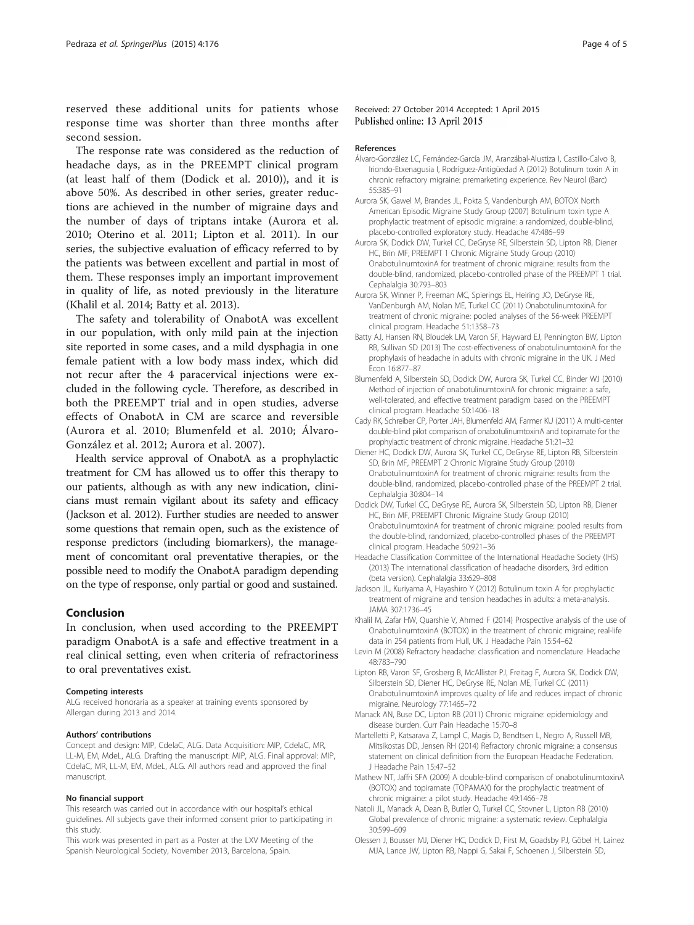<span id="page-3-0"></span>reserved these additional units for patients whose response time was shorter than three months after second session.

The response rate was considered as the reduction of headache days, as in the PREEMPT clinical program (at least half of them (Dodick et al. 2010)), and it is above 50%. As described in other series, greater reductions are achieved in the number of migraine days and the number of days of triptans intake (Aurora et al. 2010; Oterino et al. [2011;](#page-4-0) Lipton et al. 2011). In our series, the subjective evaluation of efficacy referred to by the patients was between excellent and partial in most of them. These responses imply an important improvement in quality of life, as noted previously in the literature (Khalil et al. 2014; Batty et al. 2013).

The safety and tolerability of OnabotA was excellent in our population, with only mild pain at the injection site reported in some cases, and a mild dysphagia in one female patient with a low body mass index, which did not recur after the 4 paracervical injections were excluded in the following cycle. Therefore, as described in both the PREEMPT trial and in open studies, adverse effects of OnabotA in CM are scarce and reversible (Aurora et al. 2010; Blumenfeld et al. 2010; Álvaro-González et al. 2012; Aurora et al. 2007).

Health service approval of OnabotA as a prophylactic treatment for CM has allowed us to offer this therapy to our patients, although as with any new indication, clinicians must remain vigilant about its safety and efficacy (Jackson et al. 2012). Further studies are needed to answer some questions that remain open, such as the existence of response predictors (including biomarkers), the management of concomitant oral preventative therapies, or the possible need to modify the OnabotA paradigm depending on the type of response, only partial or good and sustained.

#### Conclusion

In conclusion, when used according to the PREEMPT paradigm OnabotA is a safe and effective treatment in a real clinical setting, even when criteria of refractoriness to oral preventatives exist.

#### Competing interests

ALG received honoraria as a speaker at training events sponsored by Allergan during 2013 and 2014.

#### Authors' contributions

Concept and design: MIP, CdelaC, ALG. Data Acquisition: MIP, CdelaC, MR, LL-M, EM, MdeL, ALG. Drafting the manuscript: MIP, ALG. Final approval: MIP, CdelaC, MR, LL-M, EM, MdeL, ALG. All authors read and approved the final manuscript.

#### No financial support

This research was carried out in accordance with our hospital's ethical guidelines. All subjects gave their informed consent prior to participating in this study.

This work was presented in part as a Poster at the LXV Meeting of the Spanish Neurological Society, November 2013, Barcelona, Spain.

#### References

- Álvaro-González LC, Fernández-García JM, Aranzábal-Alustiza I, Castillo-Calvo B, Iriondo-Etxenagusia I, Rodríguez-Antigüedad A (2012) Botulinum toxin A in chronic refractory migraine: premarketing experience. Rev Neurol (Barc) 55:385–91
- Aurora SK, Gawel M, Brandes JL, Pokta S, Vandenburgh AM, BOTOX North American Episodic Migraine Study Group (2007) Botulinum toxin type A prophylactic treatment of episodic migraine: a randomized, double-blind, placebo-controlled exploratory study. Headache 47:486–99
- Aurora SK, Dodick DW, Turkel CC, DeGryse RE, Silberstein SD, Lipton RB, Diener HC, Brin MF, PREEMPT 1 Chronic Migraine Study Group (2010) OnabotulinumtoxinA for treatment of chronic migraine: results from the double-blind, randomized, placebo-controlled phase of the PREEMPT 1 trial. Cephalalgia 30:793–803
- Aurora SK, Winner P, Freeman MC, Spierings EL, Heiring JO, DeGryse RE, VanDenburgh AM, Nolan ME, Turkel CC (2011) OnabotulinumtoxinA for treatment of chronic migraine: pooled analyses of the 56-week PREEMPT clinical program. Headache 51:1358–73
- Batty AJ, Hansen RN, Bloudek LM, Varon SF, Hayward EJ, Pennington BW, Lipton RB, Sullivan SD (2013) The cost-effectiveness of onabotulinumtoxinA for the prophylaxis of headache in adults with chronic migraine in the UK. J Med Econ 16:877–87
- Blumenfeld A, Silberstein SD, Dodick DW, Aurora SK, Turkel CC, Binder WJ (2010) Method of injection of onabotulinumtoxinA for chronic migraine: a safe, well-tolerated, and effective treatment paradigm based on the PREEMPT clinical program. Headache 50:1406–18
- Cady RK, Schreiber CP, Porter JAH, Blumenfeld AM, Farmer KU (2011) A multi-center double-blind pilot comparison of onabotulinumtoxinA and topiramate for the prophylactic treatment of chronic migraine. Headache 51:21–32
- Diener HC, Dodick DW, Aurora SK, Turkel CC, DeGryse RE, Lipton RB, Silberstein SD, Brin MF, PREEMPT 2 Chronic Migraine Study Group (2010) OnabotulinumtoxinA for treatment of chronic migraine: results from the double-blind, randomized, placebo-controlled phase of the PREEMPT 2 trial. Cephalalgia 30:804–14
- Dodick DW, Turkel CC, DeGryse RE, Aurora SK, Silberstein SD, Lipton RB, Diener HC, Brin MF, PREEMPT Chronic Migraine Study Group (2010) OnabotulinumtoxinA for treatment of chronic migraine: pooled results from the double-blind, randomized, placebo-controlled phases of the PREEMPT clinical program. Headache 50:921–36
- Headache Classification Committee of the International Headache Society (IHS) (2013) The international classification of headache disorders, 3rd edition (beta version). Cephalalgia 33:629–808
- Jackson JL, Kuriyama A, Hayashiro Y (2012) Botulinum toxin A for prophylactic treatment of migraine and tension headaches in adults: a meta-analysis. JAMA 307:1736–45
- Khalil M, Zafar HW, Quarshie V, Ahmed F (2014) Prospective analysis of the use of OnabotulinumtoxinA (BOTOX) in the treatment of chronic migraine; real-life data in 254 patients from Hull, UK. J Headache Pain 15:54–62
- Levin M (2008) Refractory headache: classification and nomenclature. Headache 48:783–790
- Lipton RB, Varon SF, Grosberg B, McAllister PJ, Freitag F, Aurora SK, Dodick DW, Silberstein SD, Diener HC, DeGryse RE, Nolan ME, Turkel CC (2011) OnabotulinumtoxinA improves quality of life and reduces impact of chronic migraine. Neurology 77:1465–72
- Manack AN, Buse DC, Lipton RB (2011) Chronic migraine: epidemiology and disease burden. Curr Pain Headache 15:70–8
- Martelletti P, Katsarava Z, Lampl C, Magis D, Bendtsen L, Negro A, Russell MB, Mitsikostas DD, Jensen RH (2014) Refractory chronic migraine: a consensus statement on clinical definition from the European Headache Federation. J Headache Pain 15:47–52
- Mathew NT, Jaffri SFA (2009) A double-blind comparison of onabotulinumtoxinA (BOTOX) and topiramate (TOPAMAX) for the prophylactic treatment of chronic migraine: a pilot study. Headache 49:1466–78
- Natoli JL, Manack A, Dean B, Butler Q, Turkel CC, Stovner L, Lipton RB (2010) Global prevalence of chronic migraine: a systematic review. Cephalalgia 30:599–609
- Olessen J, Bousser MJ, Diener HC, Dodick D, First M, Goadsby PJ, Göbel H, Lainez MJA, Lance JW, Lipton RB, Nappi G, Sakai F, Schoenen J, Silberstein SD,